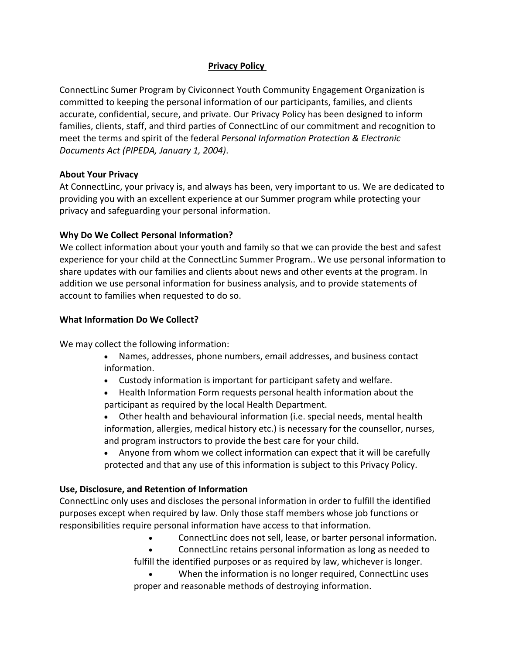# **Privacy Policy**

ConnectLinc Sumer Program by Civiconnect Youth Community Engagement Organization is committed to keeping the personal information of our participants, families, and clients accurate, confidential, secure, and private. Our Privacy Policy has been designed to inform families, clients, staff, and third parties of ConnectLinc of our commitment and recognition to meet the terms and spirit of the federal *Personal Information Protection & Electronic Documents Act (PIPEDA, January 1, 2004)*.

## **About Your Privacy**

At ConnectLinc, your privacy is, and always has been, very important to us. We are dedicated to providing you with an excellent experience at our Summer program while protecting your privacy and safeguarding your personal information.

## **Why Do We Collect Personal Information?**

We collect information about your youth and family so that we can provide the best and safest experience for your child at the ConnectLinc Summer Program.. We use personal information to share updates with our families and clients about news and other events at the program. In addition we use personal information for business analysis, and to provide statements of account to families when requested to do so.

### **What Information Do We Collect?**

We may collect the following information:

- Names, addresses, phone numbers, email addresses, and business contact information.
- Custody information is important for participant safety and welfare.
- Health Information Form requests personal health information about the participant as required by the local Health Department.

• Other health and behavioural information (i.e. special needs, mental health information, allergies, medical history etc.) is necessary for the counsellor, nurses, and program instructors to provide the best care for your child.

• Anyone from whom we collect information can expect that it will be carefully protected and that any use of this information is subject to this Privacy Policy.

## **Use, Disclosure, and Retention of Information**

ConnectLinc only uses and discloses the personal information in order to fulfill the identified purposes except when required by law. Only those staff members whose job functions or responsibilities require personal information have access to that information.

- ConnectLinc does not sell, lease, or barter personal information.
- ConnectLinc retains personal information as long as needed to fulfill the identified purposes or as required by law, whichever is longer.
- When the information is no longer required, ConnectLinc uses proper and reasonable methods of destroying information.